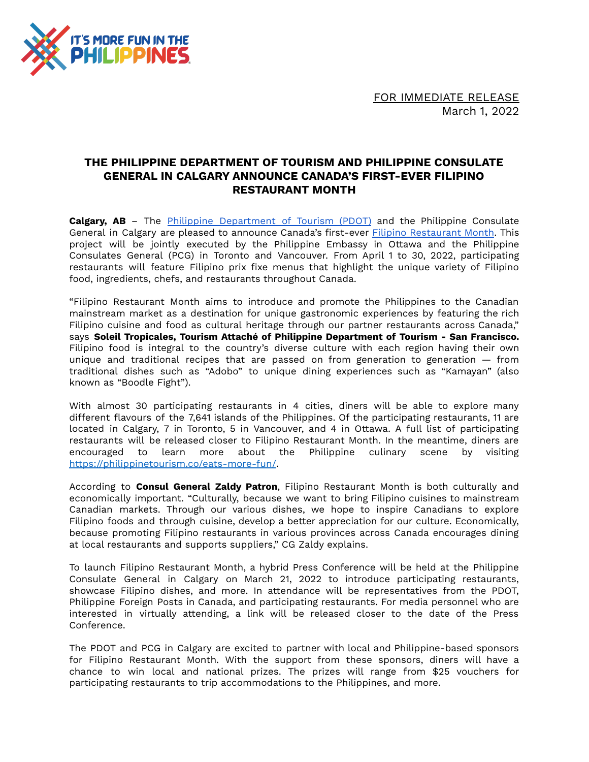

FOR IMMEDIATE RELEASE March 1, 2022

## **THE PHILIPPINE DEPARTMENT OF TOURISM AND PHILIPPINE CONSULATE GENERAL IN CALGARY ANNOUNCE CANADA'S FIRST-EVER FILIPINO RESTAURANT MONTH**

**Calgary, AB** – The Philippine [Department](http://www.philippinetourism.co) of Tourism (PDOT) and the Philippine Consulate General in Calgary are pleased to announce Canada's first-ever Filipino [Restaurant](https://l.facebook.com/l.php?u=https%3A%2F%2Ffb.me%2FFilipinoRestaurantMonthCA&h=AT0W1gy__UmoaDlxWW9Swy0nhuoQg12hCB8_G0eCNPHge1UoodE1urGgeeuGTgTTyyNWWbSiA7q88J93YkZSLBc2Sg2we7fqvl03nR6vya5rqtVQ4XSSjpHe1hG5F39P9jmoOatehyU) Month. This project will be jointly executed by the Philippine Embassy in Ottawa and the Philippine Consulates General (PCG) in Toronto and Vancouver. From April 1 to 30, 2022, participating restaurants will feature Filipino prix fixe menus that highlight the unique variety of Filipino food, ingredients, chefs, and restaurants throughout Canada.

"Filipino Restaurant Month aims to introduce and promote the Philippines to the Canadian mainstream market as a destination for unique gastronomic experiences by featuring the rich Filipino cuisine and food as cultural heritage through our partner restaurants across Canada," says **Soleil Tropicales, Tourism Attaché of Philippine Department of Tourism - San Francisco.** Filipino food is integral to the country's diverse culture with each region having their own unique and traditional recipes that are passed on from generation to generation — from traditional dishes such as "Adobo" to unique dining experiences such as "Kamayan" (also known as "Boodle Fight").

With almost 30 participating restaurants in 4 cities, diners will be able to explore many different flavours of the 7,641 islands of the Philippines. Of the participating restaurants, 11 are located in Calgary, 7 in Toronto, 5 in Vancouver, and 4 in Ottawa. A full list of participating restaurants will be released closer to Filipino Restaurant Month. In the meantime, diners are encouraged to learn more about the Philippine culinary scene by visiting <https://philippinetourism.co/eats-more-fun/>.

According to **Consul General Zaldy Patron**, Filipino Restaurant Month is both culturally and economically important. "Culturally, because we want to bring Filipino cuisines to mainstream Canadian markets. Through our various dishes, we hope to inspire Canadians to explore Filipino foods and through cuisine, develop a better appreciation for our culture. Economically, because promoting Filipino restaurants in various provinces across Canada encourages dining at local restaurants and supports suppliers," CG Zaldy explains.

To launch Filipino Restaurant Month, a hybrid Press Conference will be held at the Philippine Consulate General in Calgary on March 21, 2022 to introduce participating restaurants, showcase Filipino dishes, and more. In attendance will be representatives from the PDOT, Philippine Foreign Posts in Canada, and participating restaurants. For media personnel who are interested in virtually attending, a link will be released closer to the date of the Press Conference.

The PDOT and PCG in Calgary are excited to partner with local and Philippine-based sponsors for Filipino Restaurant Month. With the support from these sponsors, diners will have a chance to win local and national prizes. The prizes will range from \$25 vouchers for participating restaurants to trip accommodations to the Philippines, and more.